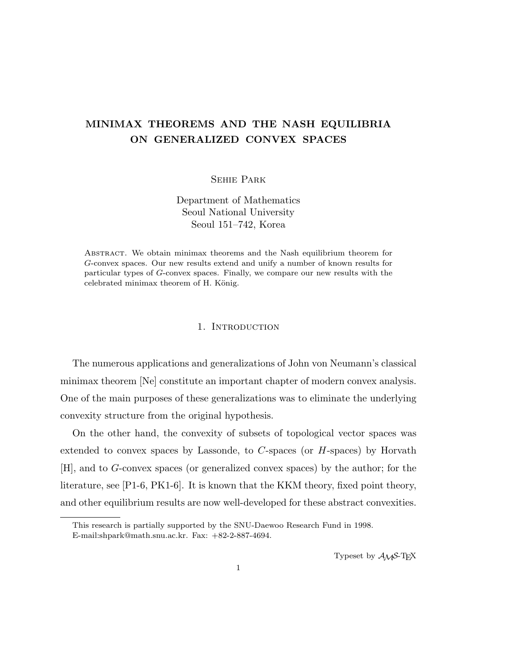# MINIMAX THEOREMS AND THE NASH EQUILIBRIA ON GENERALIZED CONVEX SPACES

Sehie Park

Department of Mathematics Seoul National University Seoul 151–742, Korea

Abstract. We obtain minimax theorems and the Nash equilibrium theorem for G-convex spaces. Our new results extend and unify a number of known results for particular types of G-convex spaces. Finally, we compare our new results with the celebrated minimax theorem of H. König.

## 1. INTRODUCTION

The numerous applications and generalizations of John von Neumann's classical minimax theorem [Ne] constitute an important chapter of modern convex analysis. One of the main purposes of these generalizations was to eliminate the underlying convexity structure from the original hypothesis.

On the other hand, the convexity of subsets of topological vector spaces was extended to convex spaces by Lassonde, to C-spaces (or H-spaces) by Horvath [H], and to G-convex spaces (or generalized convex spaces) by the author; for the literature, see [P1-6, PK1-6]. It is known that the KKM theory, fixed point theory, and other equilibrium results are now well-developed for these abstract convexities.

Typeset by  $A_{\mathcal{M}}S$ -T<sub>E</sub>X

This research is partially supported by the SNU-Daewoo Research Fund in 1998. E-mail:shpark@math.snu.ac.kr. Fax: +82-2-887-4694.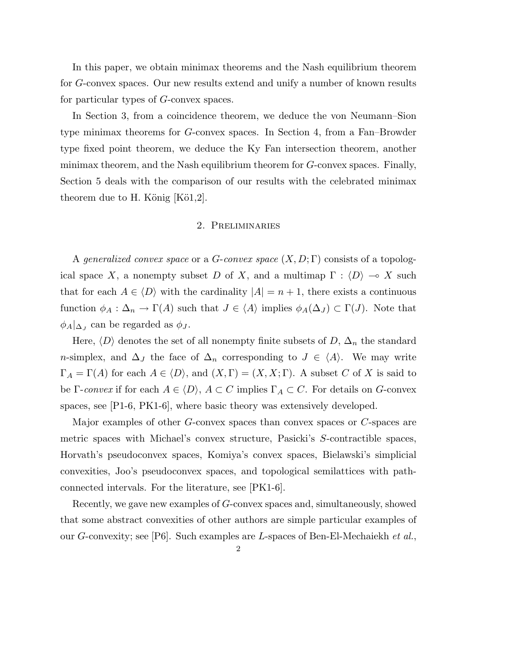In this paper, we obtain minimax theorems and the Nash equilibrium theorem for G-convex spaces. Our new results extend and unify a number of known results for particular types of G-convex spaces.

In Section 3, from a coincidence theorem, we deduce the von Neumann–Sion type minimax theorems for G-convex spaces. In Section 4, from a Fan–Browder type fixed point theorem, we deduce the Ky Fan intersection theorem, another minimax theorem, and the Nash equilibrium theorem for G-convex spaces. Finally, Section 5 deals with the comparison of our results with the celebrated minimax theorem due to H. König  $[K\ddot{o}1,2]$ .

### 2. Preliminaries

A generalized convex space or a G-convex space  $(X, D; \Gamma)$  consists of a topological space X, a nonempty subset D of X, and a multimap  $\Gamma : \langle D \rangle \to X$  such that for each  $A \in \langle D \rangle$  with the cardinality  $|A| = n + 1$ , there exists a continuous function  $\phi_A : \Delta_n \to \Gamma(A)$  such that  $J \in \langle A \rangle$  implies  $\phi_A(\Delta_J) \subset \Gamma(J)$ . Note that  $\phi_A|_{\Delta_J}$  can be regarded as  $\phi_J$ .

Here,  $\langle D \rangle$  denotes the set of all nonempty finite subsets of D,  $\Delta_n$  the standard n-simplex, and  $\Delta_J$  the face of  $\Delta_n$  corresponding to  $J \in \langle A \rangle$ . We may write  $\Gamma_A = \Gamma(A)$  for each  $A \in \langle D \rangle$ , and  $(X, \Gamma) = (X, X; \Gamma)$ . A subset C of X is said to be Γ-convex if for each  $A \in \langle D \rangle$ ,  $A \subset C$  implies  $\Gamma_A \subset C$ . For details on G-convex spaces, see [P1-6, PK1-6], where basic theory was extensively developed.

Major examples of other G-convex spaces than convex spaces or C-spaces are metric spaces with Michael's convex structure, Pasicki's S-contractible spaces, Horvath's pseudoconvex spaces, Komiya's convex spaces, Bielawski's simplicial convexities, Joo's pseudoconvex spaces, and topological semilattices with pathconnected intervals. For the literature, see [PK1-6].

Recently, we gave new examples of G-convex spaces and, simultaneously, showed that some abstract convexities of other authors are simple particular examples of our G-convexity; see [P6]. Such examples are L-spaces of Ben-El-Mechaiekh et al.,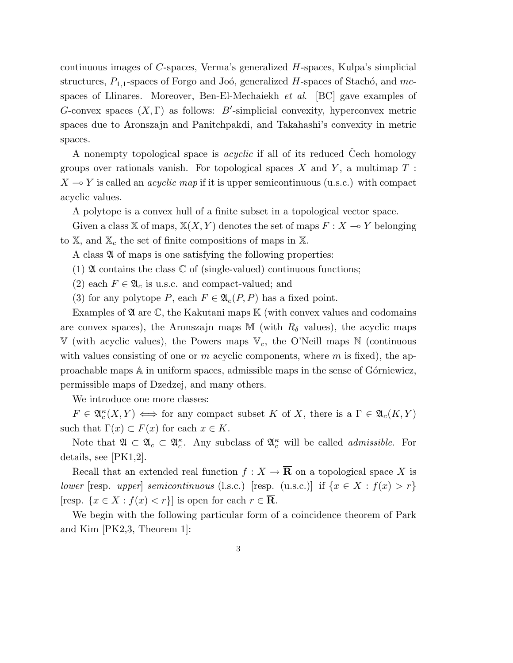continuous images of C-spaces, Verma's generalized H-spaces, Kulpa's simplicial structures,  $P_{1,1}$ -spaces of Forgo and Joó, generalized H-spaces of Stachó, and mcspaces of Llinares. Moreover, Ben-El-Mechaiekh et al. [BC] gave examples of G-convex spaces  $(X, \Gamma)$  as follows: B'-simplicial convexity, hyperconvex metric spaces due to Aronszajn and Panitchpakdi, and Takahashi's convexity in metric spaces.

A nonempty topological space is *acyclic* if all of its reduced Cech homology groups over rationals vanish. For topological spaces X and Y, a multimap  $T$ :  $X \rightarrow Y$  is called an *acyclic map* if it is upper semicontinuous (u.s.c.) with compact acyclic values.

A polytope is a convex hull of a finite subset in a topological vector space.

Given a class X of maps,  $X(X, Y)$  denotes the set of maps  $F: X \rightarrow Y$  belonging to  $\mathbb{X}$ , and  $\mathbb{X}_c$  the set of finite compositions of maps in  $\mathbb{X}$ .

A class  $\mathfrak A$  of maps is one satisfying the following properties:

(1)  $\mathfrak A$  contains the class  $\mathbb C$  of (single-valued) continuous functions;

- (2) each  $F \in \mathfrak{A}_c$  is u.s.c. and compact-valued; and
- (3) for any polytope P, each  $F \in \mathfrak{A}_{c}(P, P)$  has a fixed point.

Examples of  $\mathfrak A$  are  $\mathbb C$ , the Kakutani maps  $\mathbb K$  (with convex values and codomains are convex spaces), the Aronszajn maps M (with  $R_{\delta}$  values), the acyclic maps  $V$  (with acyclic values), the Powers maps  $V_c$ , the O'Neill maps N (continuous with values consisting of one or m acyclic components, where m is fixed), the approachable maps A in uniform spaces, admissible maps in the sense of G´orniewicz, permissible maps of Dzedzej, and many others.

We introduce one more classes:

 $F \in \mathfrak{A}_{c}^{\kappa}(X,Y) \iff \text{for any compact subset } K \text{ of } X, \text{ there is a } \Gamma \in \mathfrak{A}_{c}(K,Y)$ such that  $\Gamma(x) \subset F(x)$  for each  $x \in K$ .

Note that  $\mathfrak{A} \subset \mathfrak{A}_c \subset \mathfrak{A}_c^{\kappa}$ . Any subclass of  $\mathfrak{A}_c^{\kappa}$  will be called *admissible*. For details, see [PK1,2].

Recall that an extended real function  $f: X \to \overline{\mathbf{R}}$  on a topological space X is lower [resp. upper] semicontinuous (l.s.c.) [resp. (u.s.c.)] if  $\{x \in X : f(x) > r\}$ [resp.  $\{x \in X : f(x) < r\}$ ] is open for each  $r \in \overline{\mathbf{R}}$ .

We begin with the following particular form of a coincidence theorem of Park and Kim [PK2,3, Theorem 1]: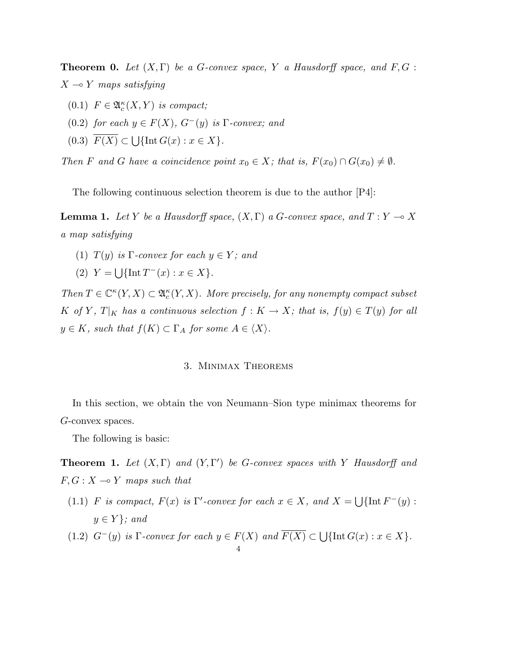**Theorem 0.** Let  $(X, \Gamma)$  be a G-convex space, Y a Hausdorff space, and  $F, G$ :  $X \rightarrow Y$  maps satisfying

- (0.1)  $F \in \mathfrak{A}_c^{\kappa}(X,Y)$  is compact;
- (0.2) for each  $y \in F(X)$ ,  $G^-(y)$  is  $\Gamma$ -convex; and
- $(0.3)$   $F(X) \subset$ Ĭ.  $\{\text{Int }G(x): x \in X\}.$

Then F and G have a coincidence point  $x_0 \in X$ ; that is,  $F(x_0) \cap G(x_0) \neq \emptyset$ .

The following continuous selection theorem is due to the author [P4]:

**Lemma 1.** Let Y be a Hausdorff space,  $(X, \Gamma)$  a G-convex space, and  $T: Y \to X$ a map satisfying

- (1)  $T(y)$  is Γ-convex for each  $y \in Y$ ; and
- $(2) Y =$ S  $\{\ln t \, T^{-}(x) : x \in X\}.$

Then  $T \in \mathbb{C}^{\kappa}(Y,X) \subset \mathfrak{A}_{c}^{\kappa}(Y,X)$ . More precisely, for any nonempty compact subset K of Y,  $T|_K$  has a continuous selection  $f: K \to X$ ; that is,  $f(y) \in T(y)$  for all  $y \in K$ , such that  $f(K) \subset \Gamma_A$  for some  $A \in \langle X \rangle$ .

# 3. Minimax Theorems

In this section, we obtain the von Neumann–Sion type minimax theorems for G-convex spaces.

The following is basic:

**Theorem 1.** Let  $(X, \Gamma)$  and  $(Y, \Gamma')$  be G-convex spaces with Y Hausdorff and  $F, G: X \longrightarrow Y$  maps such that

- (1.1) F is compact,  $F(x)$  is  $\Gamma'$ -convex for each  $x \in X$ , and  $X =$ S  $\{\text{Int } F^-(y):$  $y \in Y$ ; and
- (1.2)  $G^-(y)$  is Γ-convex for each  $y \in F(X)$  and  $\overline{F(X)} \subset \bigcup$  $\{\text{Int }G(x): x \in X\}.$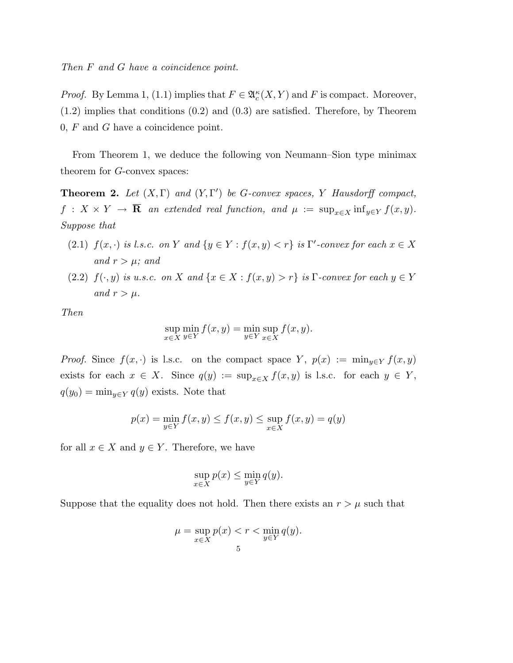Then F and G have a coincidence point.

*Proof.* By Lemma 1, (1.1) implies that  $F \in \mathfrak{A}_{c}^{\kappa}(X, Y)$  and F is compact. Moreover, (1.2) implies that conditions (0.2) and (0.3) are satisfied. Therefore, by Theorem  $0, F$  and G have a coincidence point.

From Theorem 1, we deduce the following von Neumann–Sion type minimax theorem for G-convex spaces:

**Theorem 2.** Let  $(X, \Gamma)$  and  $(Y, \Gamma')$  be G-convex spaces, Y Hausdorff compact,  $f: X \times Y \to \overline{\mathbf{R}}$  an extended real function, and  $\mu := \sup_{x \in X} \inf_{y \in Y} f(x, y)$ . Suppose that

- (2.1)  $f(x, \cdot)$  is l.s.c. on Y and  $\{y \in Y : f(x, y) < r\}$  is  $\Gamma'$ -convex for each  $x \in X$ and  $r > \mu$ ; and
- (2.2)  $f(\cdot, y)$  is u.s.c. on X and  $\{x \in X : f(x, y) > r\}$  is  $\Gamma$ -convex for each  $y \in Y$ and  $r > \mu$ .

Then

$$
\sup_{x \in X} \min_{y \in Y} f(x, y) = \min_{y \in Y} \sup_{x \in X} f(x, y).
$$

*Proof.* Since  $f(x, \cdot)$  is l.s.c. on the compact space Y,  $p(x) := \min_{y \in Y} f(x, y)$ exists for each  $x \in X$ . Since  $q(y) := \sup_{x \in X} f(x, y)$  is l.s.c. for each  $y \in Y$ ,  $q(y_0) = \min_{y \in Y} q(y)$  exists. Note that

$$
p(x) = \min_{y \in Y} f(x, y) \le f(x, y) \le \sup_{x \in X} f(x, y) = q(y)
$$

for all  $x \in X$  and  $y \in Y$ . Therefore, we have

$$
\sup_{x \in X} p(x) \le \min_{y \in Y} q(y).
$$

Suppose that the equality does not hold. Then there exists an  $r > \mu$  such that

$$
\mu = \sup_{x \in X} p(x) < r < \min_{y \in Y} q(y).
$$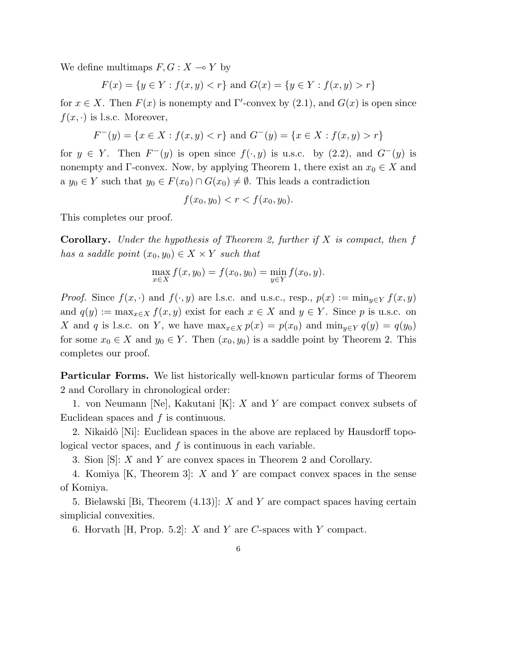We define multimaps  $F, G: X \longrightarrow Y$  by

$$
F(x) = \{ y \in Y : f(x, y) < r \} \text{ and } G(x) = \{ y \in Y : f(x, y) > r \}
$$

for  $x \in X$ . Then  $F(x)$  is nonempty and  $\Gamma'$ -convex by  $(2.1)$ , and  $G(x)$  is open since  $f(x, \cdot)$  is l.s.c. Moreover,

$$
F^{-}(y) = \{ x \in X : f(x, y) < r \} \text{ and } G^{-}(y) = \{ x \in X : f(x, y) > r \}
$$

for  $y \in Y$ . Then  $F^-(y)$  is open since  $f(\cdot, y)$  is u.s.c. by (2.2), and  $G^-(y)$  is nonempty and Γ-convex. Now, by applying Theorem 1, there exist an  $x_0 \in X$  and a  $y_0 \in Y$  such that  $y_0 \in F(x_0) \cap G(x_0) \neq \emptyset$ . This leads a contradiction

$$
f(x_0, y_0) < r < f(x_0, y_0).
$$

This completes our proof.

**Corollary.** Under the hypothesis of Theorem 2, further if  $X$  is compact, then f has a saddle point  $(x_0, y_0) \in X \times Y$  such that

$$
\max_{x \in X} f(x, y_0) = f(x_0, y_0) = \min_{y \in Y} f(x_0, y).
$$

*Proof.* Since  $f(x, \cdot)$  and  $f(\cdot, y)$  are l.s.c. and u.s.c., resp.,  $p(x) := \min_{y \in Y} f(x, y)$ and  $q(y) := \max_{x \in X} f(x, y)$  exist for each  $x \in X$  and  $y \in Y$ . Since p is u.s.c. on X and q is l.s.c. on Y, we have  $\max_{x \in X} p(x) = p(x_0)$  and  $\min_{y \in Y} q(y) = q(y_0)$ for some  $x_0 \in X$  and  $y_0 \in Y$ . Then  $(x_0, y_0)$  is a saddle point by Theorem 2. This completes our proof.

Particular Forms. We list historically well-known particular forms of Theorem 2 and Corollary in chronological order:

1. von Neumann [Ne], Kakutani [K]: X and Y are compact convex subsets of Euclidean spaces and  $f$  is continuous.

2. Nikaidô [Ni]: Euclidean spaces in the above are replaced by Hausdorff topological vector spaces, and  $f$  is continuous in each variable.

3. Sion [S]: X and Y are convex spaces in Theorem 2 and Corollary.

4. Komiya [K, Theorem 3]: X and Y are compact convex spaces in the sense of Komiya.

5. Bielawski [Bi, Theorem  $(4.13)$ ]: X and Y are compact spaces having certain simplicial convexities.

6. Horvath [H, Prop. 5.2]:  $X$  and  $Y$  are  $C$ -spaces with  $Y$  compact.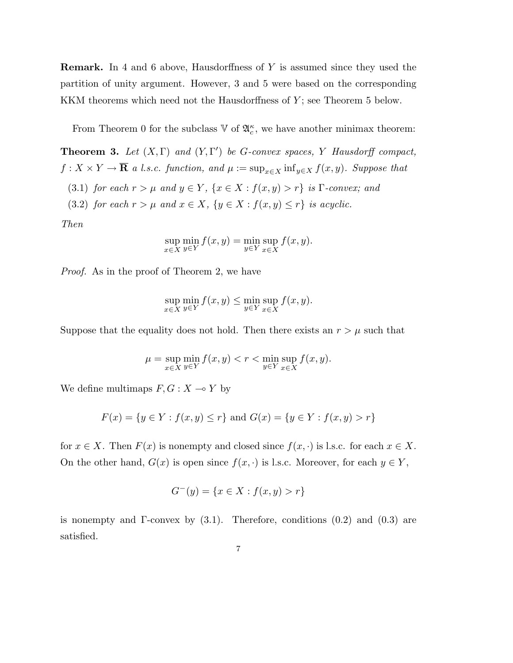Remark. In 4 and 6 above, Hausdorffness of Y is assumed since they used the partition of unity argument. However, 3 and 5 were based on the corresponding KKM theorems which need not the Hausdorffness of  $Y$ ; see Theorem 5 below.

From Theorem 0 for the subclass  $\mathbb{V}$  of  $\mathfrak{A}_{c}^{\kappa}$ , we have another minimax theorem:

**Theorem 3.** Let  $(X, \Gamma)$  and  $(Y, \Gamma')$  be G-convex spaces, Y Hausdorff compact,  $f: X \times Y \to \overline{\mathbf{R}}$  a l.s.c. function, and  $\mu := \sup_{x \in X} \inf_{y \in X} f(x, y)$ . Suppose that (3.1) for each  $r > \mu$  and  $y \in Y$ ,  $\{x \in X : f(x, y) > r\}$  is  $\Gamma$ -convex; and (3.2) for each  $r > \mu$  and  $x \in X$ ,  $\{y \in X : f(x, y) \le r\}$  is acyclic.

Then

$$
\sup_{x \in X} \min_{y \in Y} f(x, y) = \min_{y \in Y} \sup_{x \in X} f(x, y).
$$

Proof. As in the proof of Theorem 2, we have

$$
\sup_{x \in X} \min_{y \in Y} f(x, y) \le \min_{y \in Y} \sup_{x \in X} f(x, y).
$$

Suppose that the equality does not hold. Then there exists an  $r > \mu$  such that

$$
\mu = \sup_{x \in X} \min_{y \in Y} f(x, y) < r < \min_{y \in Y} \sup_{x \in X} f(x, y).
$$

We define multimaps  $F, G: X \longrightarrow Y$  by

$$
F(x) = \{ y \in Y : f(x, y) \le r \} \text{ and } G(x) = \{ y \in Y : f(x, y) > r \}
$$

for  $x \in X$ . Then  $F(x)$  is nonempty and closed since  $f(x, \cdot)$  is l.s.c. for each  $x \in X$ . On the other hand,  $G(x)$  is open since  $f(x, \cdot)$  is l.s.c. Moreover, for each  $y \in Y$ ,

$$
G^{-}(y) = \{ x \in X : f(x, y) > r \}
$$

is nonempty and  $\Gamma$ -convex by  $(3.1)$ . Therefore, conditions  $(0.2)$  and  $(0.3)$  are satisfied.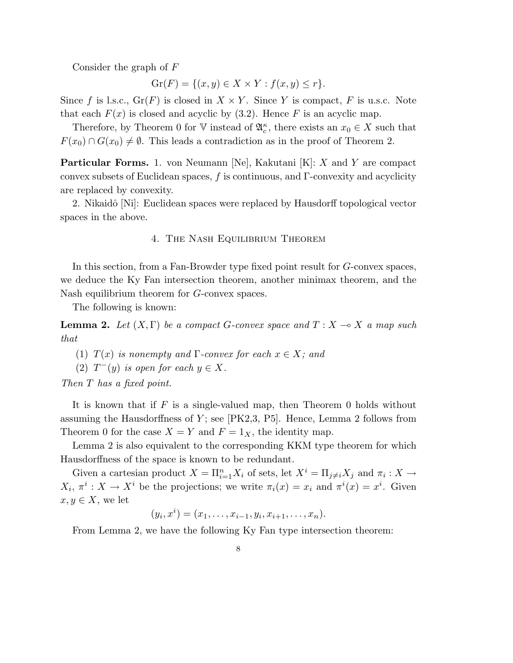Consider the graph of F

$$
\operatorname{Gr}(F) = \{(x, y) \in X \times Y : f(x, y) \le r\}.
$$

Since f is l.s.c.,  $Gr(F)$  is closed in  $X \times Y$ . Since Y is compact, F is u.s.c. Note that each  $F(x)$  is closed and acyclic by (3.2). Hence F is an acyclic map.

Therefore, by Theorem 0 for  $\mathbb{V}$  instead of  $\mathfrak{A}_{c}^{\kappa}$ , there exists an  $x_0 \in X$  such that  $F(x_0) \cap G(x_0) \neq \emptyset$ . This leads a contradiction as in the proof of Theorem 2.

**Particular Forms.** 1. von Neumann [Ne], Kakutani [K]:  $X$  and  $Y$  are compact convex subsets of Euclidean spaces,  $f$  is continuous, and  $\Gamma$ -convexity and acyclicity are replaced by convexity.

2. Nikaidô [Ni]: Euclidean spaces were replaced by Hausdorff topological vector spaces in the above.

#### 4. The Nash Equilibrium Theorem

In this section, from a Fan-Browder type fixed point result for G-convex spaces, we deduce the Ky Fan intersection theorem, another minimax theorem, and the Nash equilibrium theorem for G-convex spaces.

The following is known:

**Lemma 2.** Let  $(X, \Gamma)$  be a compact G-convex space and  $T : X \longrightarrow X$  a map such that

(1)  $T(x)$  is nonempty and  $\Gamma$ -convex for each  $x \in X$ ; and

(2)  $T^-(y)$  is open for each  $y \in X$ .

Then T has a fixed point.

It is known that if  $F$  is a single-valued map, then Theorem 0 holds without assuming the Hausdorffness of  $Y$ ; see [PK2,3, P5]. Hence, Lemma 2 follows from Theorem 0 for the case  $X = Y$  and  $F = 1_X$ , the identity map.

Lemma 2 is also equivalent to the corresponding KKM type theorem for which Hausdorffness of the space is known to be redundant.

Given a cartesian product  $X = \prod_{i=1}^n X_i$  of sets, let  $X^i = \prod_{j \neq i} X_j$  and  $\pi_i : X \to Y$  $X_i, \pi^i: X \to X^i$  be the projections; we write  $\pi_i(x) = x_i$  and  $\pi^i(x) = x^i$ . Given  $x, y \in X$ , we let

$$
(y_i, x^i) = (x_1, \dots, x_{i-1}, y_i, x_{i+1}, \dots, x_n).
$$

From Lemma 2, we have the following Ky Fan type intersection theorem: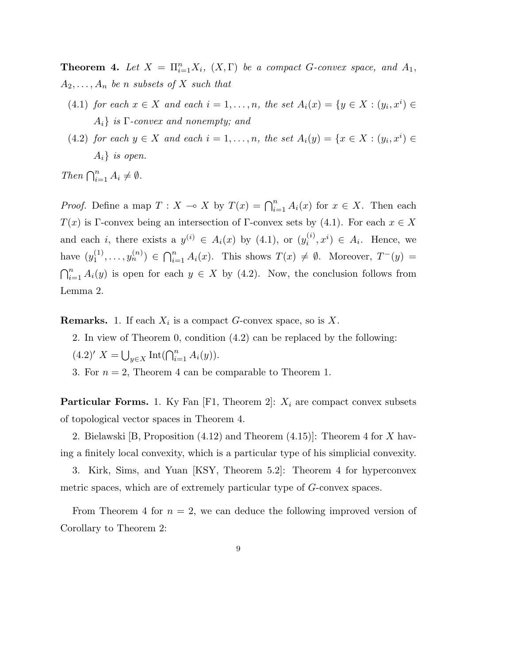**Theorem 4.** Let  $X = \prod_{i=1}^n X_i$ ,  $(X, \Gamma)$  be a compact G-convex space, and  $A_1$ ,  $A_2, \ldots, A_n$  be n subsets of X such that

- (4.1) for each  $x \in X$  and each  $i = 1, \ldots, n$ , the set  $A_i(x) = \{y \in X : (y_i, x^i) \in X\}$  $A_i$ } is  $\Gamma$ -convex and nonempty; and
- (4.2) for each  $y \in X$  and each  $i = 1, \ldots, n$ , the set  $A_i(y) = \{x \in X : (y_i, x^i) \in X\}$  $A_i$  is open.

Then  $\bigcap_{i=1}^n A_i \neq \emptyset$ .

*Proof.* Define a map  $T : X \to X$  by  $T(x) = \bigcap_{i=1}^{n} A_i(x)$  for  $x \in X$ . Then each  $T(x)$  is Γ-convex being an intersection of Γ-convex sets by (4.1). For each  $x \in X$ and each *i*, there exists a  $y^{(i)} \in A_i(x)$  by (4.1), or  $(y_i^{(i)})$  $i^{(i)}$ ,  $x^{i}$ )  $\in$   $A_{i}$ . Hence, we have  $(y_1^{(1)}$  $\binom{1}{1}, \ldots, y_n^{(n)}\} \in \bigcap_{i=1}^n$  $\sum_{i=1}^{n} A_i(x)$ . This shows  $T(x) \neq \emptyset$ . Moreover,  $T^{-}(y) =$  $\mathsf{C}^n$  $i=1 \n A_i(y)$  is open for each  $y \in X$  by (4.2). Now, the conclusion follows from Lemma 2.

**Remarks.** 1. If each  $X_i$  is a compact G-convex space, so is X.

2. In view of Theorem 0, condition (4.2) can be replaced by the following:  $(4.2)'$   $X = \bigcup_{y \in X} \text{Int}(\bigcap_{i=1}^{n} A_i(y)).$ 

3. For  $n = 2$ , Theorem 4 can be comparable to Theorem 1.

**Particular Forms.** 1. Ky Fan [F1, Theorem 2]:  $X_i$  are compact convex subsets of topological vector spaces in Theorem 4.

2. Bielawski [B, Proposition (4.12) and Theorem (4.15)]: Theorem 4 for X having a finitely local convexity, which is a particular type of his simplicial convexity.

3. Kirk, Sims, and Yuan [KSY, Theorem 5.2]: Theorem 4 for hyperconvex metric spaces, which are of extremely particular type of G-convex spaces.

From Theorem 4 for  $n = 2$ , we can deduce the following improved version of Corollary to Theorem 2: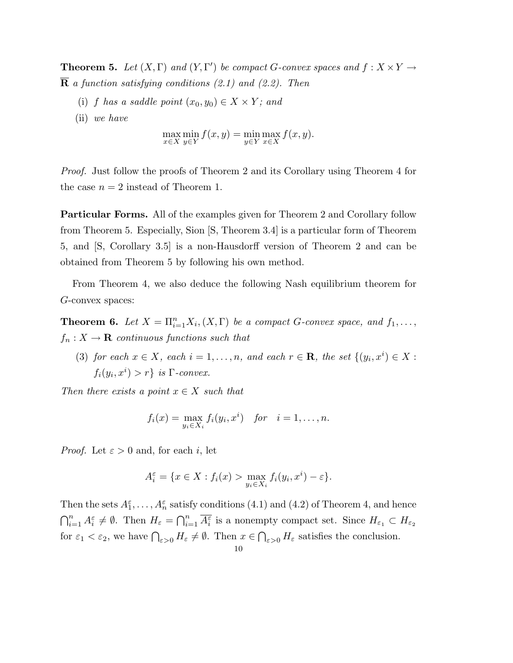**Theorem 5.** Let  $(X, \Gamma)$  and  $(Y, \Gamma')$  be compact G-convex spaces and  $f : X \times Y \rightarrow Y$  $\overline{\mathbf{R}}$  a function satisfying conditions (2.1) and (2.2). Then

- (i) f has a saddle point  $(x_0, y_0) \in X \times Y$ ; and
- (ii) we have

$$
\max_{x \in X} \min_{y \in Y} f(x, y) = \min_{y \in Y} \max_{x \in X} f(x, y).
$$

Proof. Just follow the proofs of Theorem 2 and its Corollary using Theorem 4 for the case  $n = 2$  instead of Theorem 1.

Particular Forms. All of the examples given for Theorem 2 and Corollary follow from Theorem 5. Especially, Sion [S, Theorem 3.4] is a particular form of Theorem 5, and [S, Corollary 3.5] is a non-Hausdorff version of Theorem 2 and can be obtained from Theorem 5 by following his own method.

From Theorem 4, we also deduce the following Nash equilibrium theorem for G-convex spaces:

**Theorem 6.** Let  $X = \prod_{i=1}^n X_i$ ,  $(X, \Gamma)$  be a compact G-convex space, and  $f_1, \ldots,$  $f_n: X \to \mathbf{R}$  continuous functions such that

(3) for each  $x \in X$ , each  $i = 1, \ldots, n$ , and each  $r \in \mathbf{R}$ , the set  $\{(y_i, x^i) \in X$ :  $f_i(y_i, x^i) > r$ } is  $\Gamma$ -convex.

Then there exists a point  $x \in X$  such that

$$
f_i(x) = \max_{y_i \in X_i} f_i(y_i, x^i) \quad \text{for} \quad i = 1, \dots, n.
$$

*Proof.* Let  $\varepsilon > 0$  and, for each i, let

$$
A_i^{\varepsilon} = \{ x \in X : f_i(x) > \max_{y_i \in X_i} f_i(y_i, x^i) - \varepsilon \}.
$$

Then the sets  $A_1^{\varepsilon}, \ldots, A_n^{\varepsilon}$  satisfy conditions (4.1) and (4.2) of Theorem 4, and hence  $\bigcap_{i=1}^n A_i^{\varepsilon} \neq \emptyset$ . Then  $H_{\varepsilon} = \bigcap_{i=1}^n \overline{A_i^{\varepsilon}}$  is a nonempty compact set. Since  $H_{\varepsilon_1} \subset H_{\varepsilon_2}$ for  $\varepsilon_1 < \varepsilon_2$ , we have  $\bigcap_{\varepsilon>0} H_{\varepsilon} \neq \emptyset$ . Then  $x \in$  $\overline{a}$  $\epsilon_{\geq 0}$  H<sub> $\epsilon$ </sub> satisfies the conclusion.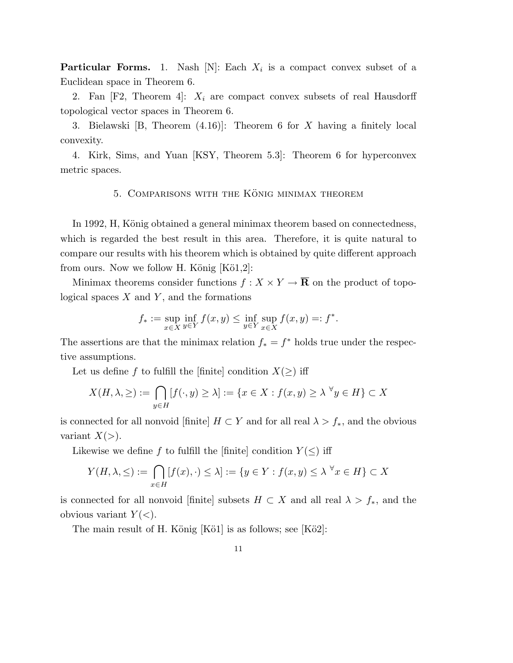**Particular Forms.** 1. Nash [N]: Each  $X_i$  is a compact convex subset of a Euclidean space in Theorem 6.

2. Fan  $[F2,$  Theorem 4:  $X_i$  are compact convex subsets of real Hausdorff topological vector spaces in Theorem 6.

3. Bielawski [B, Theorem (4.16)]: Theorem 6 for X having a finitely local convexity.

4. Kirk, Sims, and Yuan [KSY, Theorem 5.3]: Theorem 6 for hyperconvex metric spaces.

# 5. COMPARISONS WITH THE KÖNIG MINIMAX THEOREM

In 1992, H, König obtained a general minimax theorem based on connectedness, which is regarded the best result in this area. Therefore, it is quite natural to compare our results with his theorem which is obtained by quite different approach from ours. Now we follow H. König  $[K\ddot{o}1,2]$ :

Minimax theorems consider functions  $f: X \times Y \to \overline{\mathbf{R}}$  on the product of topological spaces  $X$  and  $Y$ , and the formations

$$
f_* := \sup_{x \in X} \inf_{y \in Y} f(x, y) \le \inf_{y \in Y} \sup_{x \in X} f(x, y) =: f^*.
$$

The assertions are that the minimax relation  $f_* = f^*$  holds true under the respective assumptions.

Let us define f to fulfill the [finite] condition  $X(\ge)$  iff

$$
X(H, \lambda, \geq) := \bigcap_{y \in H} [f(\cdot, y) \geq \lambda] := \{ x \in X : f(x, y) \geq \lambda^{\forall} y \in H \} \subset X
$$

is connected for all nonvoid [finite]  $H \subset Y$  and for all real  $\lambda > f_*$ , and the obvious variant  $X(>)$ .

Likewise we define f to fulfill the [finite] condition  $Y(\le)$  iff

$$
Y(H, \lambda, \leq) := \bigcap_{x \in H} [f(x), \cdot) \leq \lambda] := \{ y \in Y : f(x, y) \leq \lambda^{\forall} x \in H \} \subset X
$$

is connected for all nonvoid [finite] subsets  $H \subset X$  and all real  $\lambda > f_*$ , and the obvious variant  $Y(\langle \rangle)$ .

The main result of H. König  $[K\ddot{o}1]$  is as follows; see  $[K\ddot{o}2]$ :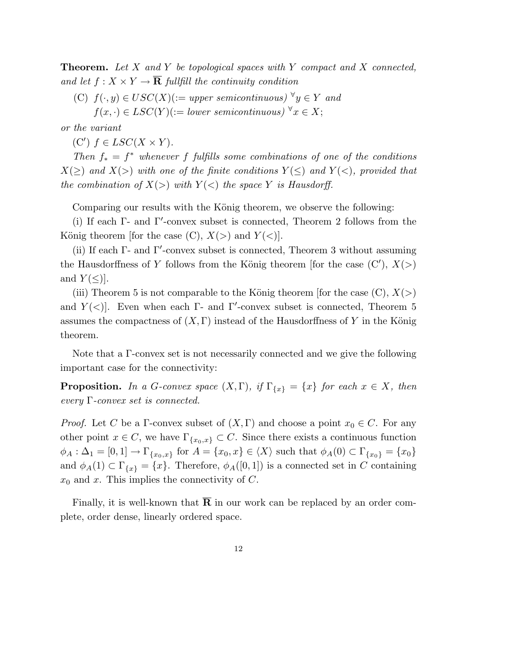**Theorem.** Let  $X$  and  $Y$  be topological spaces with  $Y$  compact and  $X$  connected, and let  $f: X \times Y \to \overline{\mathbf{R}}$  fullfill the continuity condition

(C)  $f(\cdot, y) \in USC(X) := upper semicontinuous)$   $\forall y \in Y$  and  $f(x, \cdot) \in LSC(Y) := lower\ semicontinuous)$ <sup> $\forall x \in X;$ </sup>

or the variant

(C')  $f \in LSC(X \times Y)$ .

Then  $f_* = f^*$  whenever f fulfills some combinations of one of the conditions  $X(\geq)$  and  $X(\geq)$  with one of the finite conditions  $Y(\leq)$  and  $Y(\leq)$ , provided that the combination of  $X(\gt)$  with  $Y(\lt)$  the space Y is Hausdorff.

Comparing our results with the König theorem, we observe the following:

(i) If each  $\Gamma$ - and  $\Gamma'$ -convex subset is connected, Theorem 2 follows from the König theorem [for the case  $(C)$ ,  $X(\ge)$  and  $Y(\le)$ ].

(ii) If each  $\Gamma$ - and  $\Gamma'$ -convex subset is connected, Theorem 3 without assuming the Hausdorffness of Y follows from the König theorem [for the case  $(C')$ ,  $X(>)$ and  $Y(\le)$ .

(iii) Theorem 5 is not comparable to the König theorem [for the case  $(C)$ ,  $X(\gt)$ ] and  $Y(\langle \cdot \rangle)$ . Even when each Γ- and Γ'-convex subset is connected, Theorem 5 assumes the compactness of  $(X, \Gamma)$  instead of the Hausdorffness of Y in the König theorem.

Note that a Γ-convex set is not necessarily connected and we give the following important case for the connectivity:

**Proposition.** In a G-convex space  $(X, \Gamma)$ , if  $\Gamma_{\{x\}} = \{x\}$  for each  $x \in X$ , then every  $\Gamma$ -convex set is connected.

*Proof.* Let C be a Γ-convex subset of  $(X, \Gamma)$  and choose a point  $x_0 \in C$ . For any other point  $x \in C$ , we have  $\Gamma_{\{x_0, x\}} \subset C$ . Since there exists a continuous function  $\phi_A : \Delta_1 = [0,1] \rightarrow \Gamma_{\{x_0,x\}}$  for  $A = \{x_0,x\} \in \langle X \rangle$  such that  $\phi_A(0) \subset \Gamma_{\{x_0\}} = \{x_0\}$ and  $\phi_A(1) \subset \Gamma_{\{x\}} = \{x\}.$  Therefore,  $\phi_A([0,1])$  is a connected set in C containing  $x_0$  and x. This implies the connectivity of C.

Finally, it is well-known that  $\overline{R}$  in our work can be replaced by an order complete, order dense, linearly ordered space.